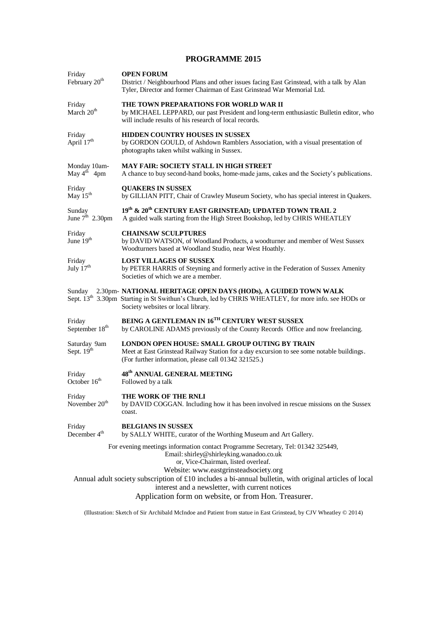## **PROGRAMME 2015**

| Friday<br>February 20 <sup>th</sup>   | <b>OPEN FORUM</b><br>District / Neighbourhood Plans and other issues facing East Grinstead, with a talk by Alan<br>Tyler, Director and former Chairman of East Grinstead War Memorial Ltd.                                                                                                                                                                                                                                                  |  |  |  |  |
|---------------------------------------|---------------------------------------------------------------------------------------------------------------------------------------------------------------------------------------------------------------------------------------------------------------------------------------------------------------------------------------------------------------------------------------------------------------------------------------------|--|--|--|--|
| Friday<br>March 20 <sup>th</sup>      | THE TOWN PREPARATIONS FOR WORLD WAR II<br>by MICHAEL LEPPARD, our past President and long-term enthusiastic Bulletin editor, who<br>will include results of his research of local records.                                                                                                                                                                                                                                                  |  |  |  |  |
| Friday<br>April 17 <sup>th</sup>      | HIDDEN COUNTRY HOUSES IN SUSSEX<br>by GORDON GOULD, of Ashdown Ramblers Association, with a visual presentation of<br>photographs taken whilst walking in Sussex.                                                                                                                                                                                                                                                                           |  |  |  |  |
| Monday 10am-<br>May $4^{th}$ 4pm      | <b>MAY FAIR: SOCIETY STALL IN HIGH STREET</b><br>A chance to buy second-hand books, home-made jams, cakes and the Society's publications.                                                                                                                                                                                                                                                                                                   |  |  |  |  |
| Friday<br>May $15^{th}$               | <b>QUAKERS IN SUSSEX</b><br>by GILLIAN PITT, Chair of Crawley Museum Society, who has special interest in Quakers.                                                                                                                                                                                                                                                                                                                          |  |  |  |  |
| Sunday<br>June $7^{\text{th}}$ 2.30pm | $19^{\rm th}$ & $20^{\rm th}$ CENTURY EAST GRINSTEAD; UPDATED TOWN TRAIL $2$<br>A guided walk starting from the High Street Bookshop, led by CHRIS WHEATLEY                                                                                                                                                                                                                                                                                 |  |  |  |  |
| Friday<br>June 19 <sup>th</sup>       | <b>CHAINSAW SCULPTURES</b><br>by DAVID WATSON, of Woodland Products, a woodturner and member of West Sussex<br>Woodturners based at Woodland Studio, near West Hoathly.                                                                                                                                                                                                                                                                     |  |  |  |  |
| Friday<br>July $17th$                 | <b>LOST VILLAGES OF SUSSEX</b><br>by PETER HARRIS of Steyning and formerly active in the Federation of Sussex Amenity<br>Societies of which we are a member.                                                                                                                                                                                                                                                                                |  |  |  |  |
|                                       | Sunday 2.30pm- NATIONAL HERITAGE OPEN DAYS (HODs), A GUIDED TOWN WALK<br>Sept. 13 <sup>th</sup> 3.30pm Starting in St Swithun's Church, led by CHRIS WHEATLEY, for more info. see HODs or<br>Society websites or local library.                                                                                                                                                                                                             |  |  |  |  |
| Friday<br>September 18 <sup>th</sup>  | BEING A GENTLEMAN IN 16TH CENTURY WEST SUSSEX<br>by CAROLINE ADAMS previously of the County Records Office and now freelancing.                                                                                                                                                                                                                                                                                                             |  |  |  |  |
| Saturday 9am<br>Sept. 19th            | <b>LONDON OPEN HOUSE: SMALL GROUP OUTING BY TRAIN</b><br>Meet at East Grinstead Railway Station for a day excursion to see some notable buildings.<br>(For further information, please call 01342 321525.)                                                                                                                                                                                                                                  |  |  |  |  |
| Friday<br>October 16 <sup>th</sup>    | 48 <sup>th</sup> ANNUAL GENERAL MEETING<br>Followed by a talk                                                                                                                                                                                                                                                                                                                                                                               |  |  |  |  |
| Friday<br>November $20th$             | THE WORK OF THE RNLI<br>by DAVID COGGAN. Including how it has been involved in rescue missions on the Sussex<br>coast.                                                                                                                                                                                                                                                                                                                      |  |  |  |  |
| Friday<br>December 4 <sup>th</sup>    | <b>BELGIANS IN SUSSEX</b><br>by SALLY WHITE, curator of the Worthing Museum and Art Gallery.                                                                                                                                                                                                                                                                                                                                                |  |  |  |  |
|                                       | For evening meetings information contact Programme Secretary, Tel: 01342 325449,<br>Email: shirley@shirleyking.wanadoo.co.uk<br>or, Vice-Chairman, listed overleaf.<br>Website: www.eastgrinsteadsociety.org<br>Annual adult society subscription of $\pounds 10$ includes a bi-annual bulletin, with original articles of local<br>interest and a newsletter, with current notices<br>Application form on website, or from Hon. Treasurer. |  |  |  |  |
|                                       |                                                                                                                                                                                                                                                                                                                                                                                                                                             |  |  |  |  |

(Illustration: Sketch of Sir Archibald McIndoe and Patient from statue in East Grinstead, by CJV Wheatley © 2014)